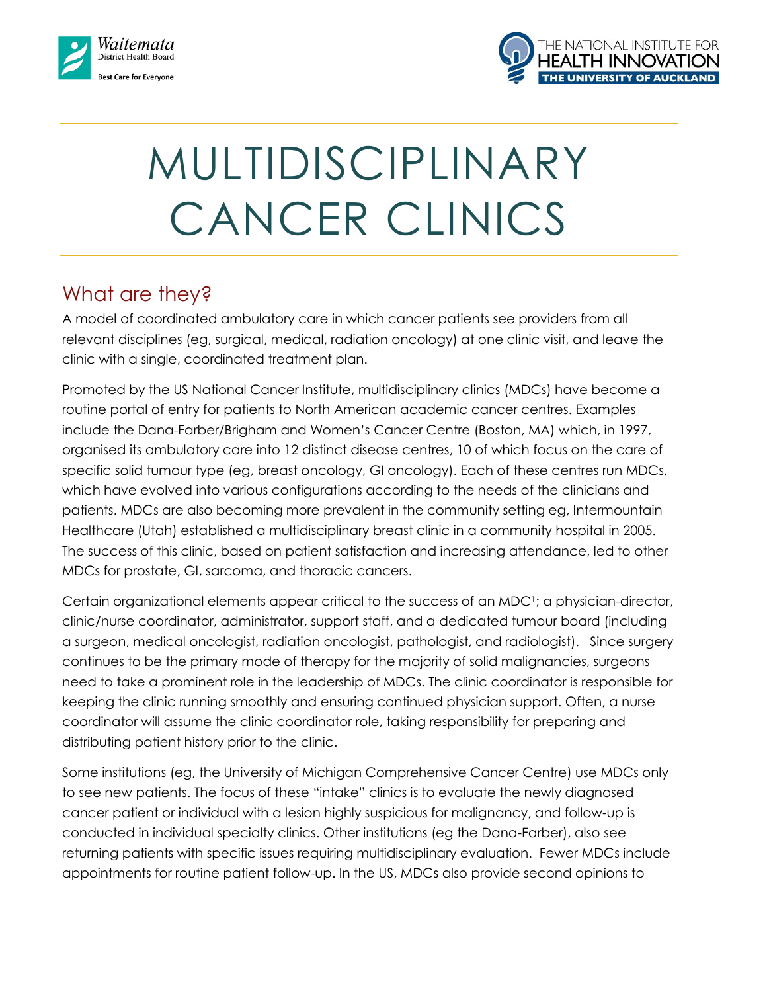



# MULTIDISCIPLINARY CANCER CLINICS

## What are they?

A model of coordinated ambulatory care in which cancer patients see providers from all relevant disciplines (eg, surgical, medical, radiation oncology) at one clinic visit, and leave the clinic with a single, coordinated treatment plan.

Promoted by the US National Cancer Institute, multidisciplinary clinics (MDCs) have become a routine portal of entry for patients to North American academic cancer centres. Examples include the Dana-Farber/Brigham and Women's Cancer Centre (Boston, MA) which, in 1997, organised its ambulatory care into 12 distinct disease centres, 10 of which focus on the care of specific solid tumour type (eg, breast oncology, GI oncology). Each of these centres run MDCs, which have evolved into various configurations according to the needs of the clinicians and patients. MDCs are also becoming more prevalent in the community setting eg, Intermountain Healthcare (Utah) established a multidisciplinary breast clinic in a community hospital in 2005. The success of this clinic, based on patient satisfaction and increasing attendance, led to other MDCs for prostate, GI, sarcoma, and thoracic cancers.

Certain organizational elements appear critical to the success of an MDC1; a physician-director, clinic/nurse coordinator, administrator, support staff, and a dedicated tumour board (including a surgeon, medical oncologist, radiation oncologist, pathologist, and radiologist). Since surgery continues to be the primary mode of therapy for the majority of solid malignancies, surgeons need to take a prominent role in the leadership of MDCs. The clinic coordinator is responsible for keeping the clinic running smoothly and ensuring continued physician support. Often, a nurse coordinator will assume the clinic coordinator role, taking responsibility for preparing and distributing patient history prior to the clinic.

Some institutions (eg, the University of Michigan Comprehensive Cancer Centre) use MDCs only to see new patients. The focus of these "intake" clinics is to evaluate the newly diagnosed cancer patient or individual with a lesion highly suspicious for malignancy, and follow-up is conducted in individual specialty clinics. Other institutions (eg the Dana-Farber), also see returning patients with specific issues requiring multidisciplinary evaluation. Fewer MDCs include appointments for routine patient follow-up. In the US, MDCs also provide second opinions to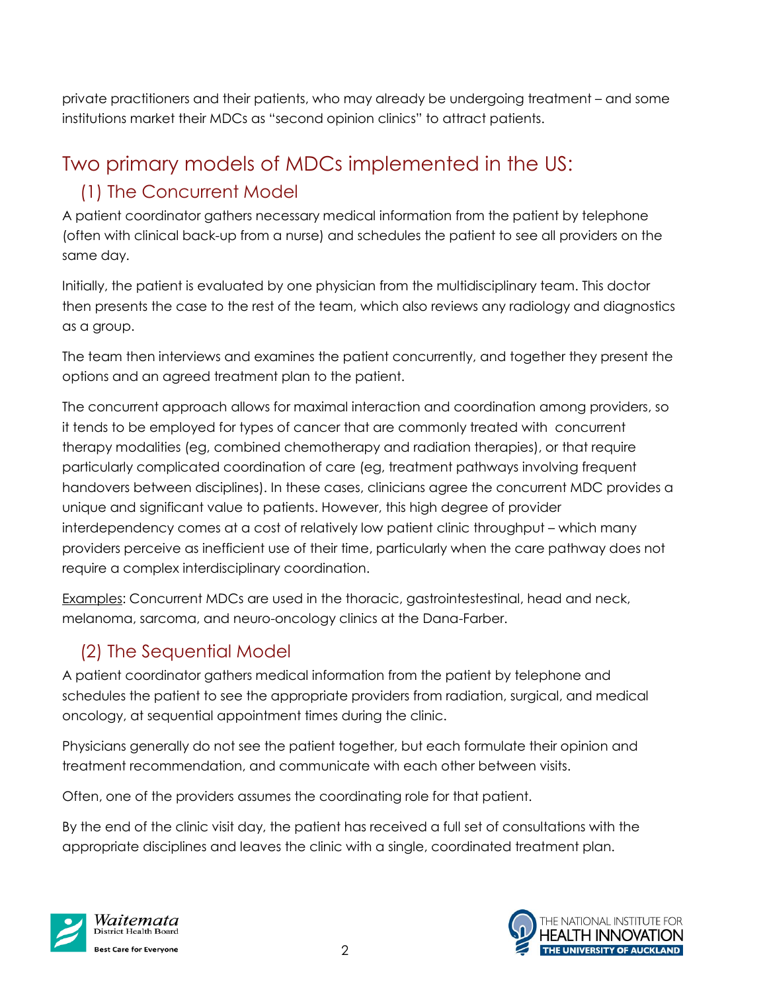private practitioners and their patients, who may already be undergoing treatment – and some institutions market their MDCs as "second opinion clinics" to attract patients.

# Two primary models of MDCs implemented in the US: (1) The Concurrent Model

A patient coordinator gathers necessary medical information from the patient by telephone (often with clinical back-up from a nurse) and schedules the patient to see all providers on the same day.

Initially, the patient is evaluated by one physician from the multidisciplinary team. This doctor then presents the case to the rest of the team, which also reviews any radiology and diagnostics as a group.

The team then interviews and examines the patient concurrently, and together they present the options and an agreed treatment plan to the patient.

The concurrent approach allows for maximal interaction and coordination among providers, so it tends to be employed for types of cancer that are commonly treated with concurrent therapy modalities (eg, combined chemotherapy and radiation therapies), or that require particularly complicated coordination of care (eg, treatment pathways involving frequent handovers between disciplines). In these cases, clinicians agree the concurrent MDC provides a unique and significant value to patients. However, this high degree of provider interdependency comes at a cost of relatively low patient clinic throughput – which many providers perceive as inefficient use of their time, particularly when the care pathway does not require a complex interdisciplinary coordination.

Examples: Concurrent MDCs are used in the thoracic, gastrointestestinal, head and neck, melanoma, sarcoma, and neuro-oncology clinics at the Dana-Farber.

## (2) The Sequential Model

A patient coordinator gathers medical information from the patient by telephone and schedules the patient to see the appropriate providers from radiation, surgical, and medical oncology, at sequential appointment times during the clinic.

Physicians generally do not see the patient together, but each formulate their opinion and treatment recommendation, and communicate with each other between visits.

Often, one of the providers assumes the coordinating role for that patient.

By the end of the clinic visit day, the patient has received a full set of consultations with the appropriate disciplines and leaves the clinic with a single, coordinated treatment plan.



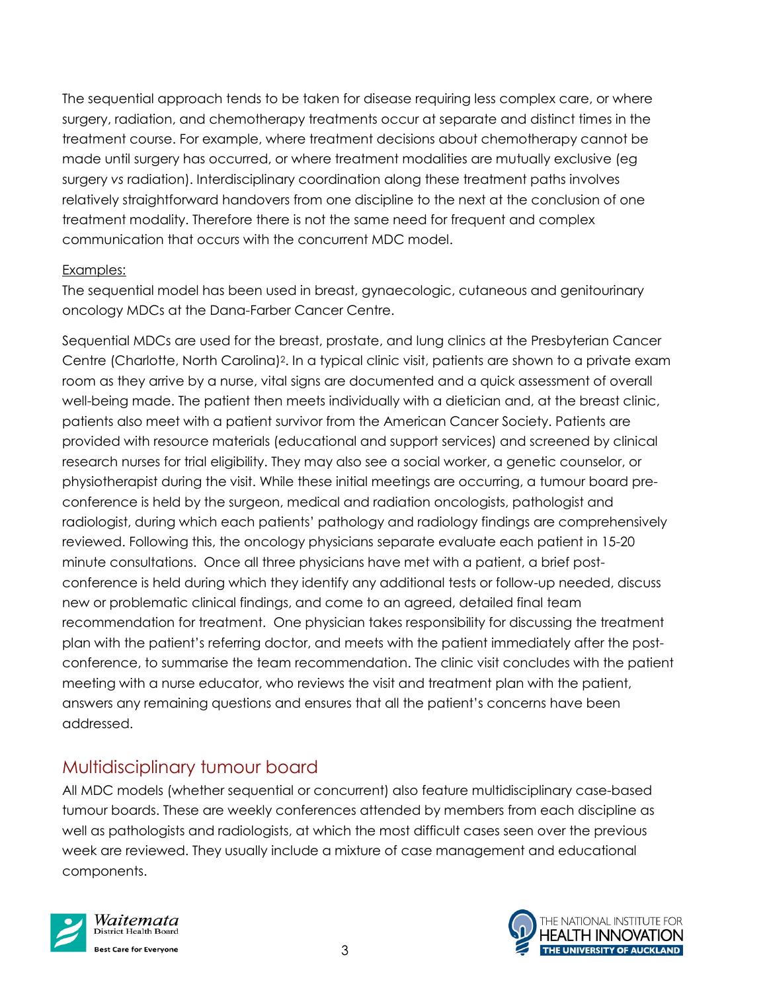The sequential approach tends to be taken for disease requiring less complex care, or where surgery, radiation, and chemotherapy treatments occur at separate and distinct times in the treatment course. For example, where treatment decisions about chemotherapy cannot be made until surgery has occurred, or where treatment modalities are mutually exclusive (eg surgery *vs* radiation). Interdisciplinary coordination along these treatment paths involves relatively straightforward handovers from one discipline to the next at the conclusion of one treatment modality. Therefore there is not the same need for frequent and complex communication that occurs with the concurrent MDC model.

#### Examples:

The sequential model has been used in breast, gynaecologic, cutaneous and genitourinary oncology MDCs at the Dana-Farber Cancer Centre.

Sequential MDCs are used for the breast, prostate, and lung clinics at the Presbyterian Cancer Centre (Charlotte, North Carolina)2. In a typical clinic visit, patients are shown to a private exam room as they arrive by a nurse, vital signs are documented and a quick assessment of overall well-being made. The patient then meets individually with a dietician and, at the breast clinic, patients also meet with a patient survivor from the American Cancer Society. Patients are provided with resource materials (educational and support services) and screened by clinical research nurses for trial eligibility. They may also see a social worker, a genetic counselor, or physiotherapist during the visit. While these initial meetings are occurring, a tumour board preconference is held by the surgeon, medical and radiation oncologists, pathologist and radiologist, during which each patients' pathology and radiology findings are comprehensively reviewed. Following this, the oncology physicians separate evaluate each patient in 15-20 minute consultations. Once all three physicians have met with a patient, a brief postconference is held during which they identify any additional tests or follow-up needed, discuss new or problematic clinical findings, and come to an agreed, detailed final team recommendation for treatment. One physician takes responsibility for discussing the treatment plan with the patient's referring doctor, and meets with the patient immediately after the postconference, to summarise the team recommendation. The clinic visit concludes with the patient meeting with a nurse educator, who reviews the visit and treatment plan with the patient, answers any remaining questions and ensures that all the patient's concerns have been addressed.

## Multidisciplinary tumour board

All MDC models (whether sequential or concurrent) also feature multidisciplinary case-based tumour boards. These are weekly conferences attended by members from each discipline as well as pathologists and radiologists, at which the most difficult cases seen over the previous week are reviewed. They usually include a mixture of case management and educational components.



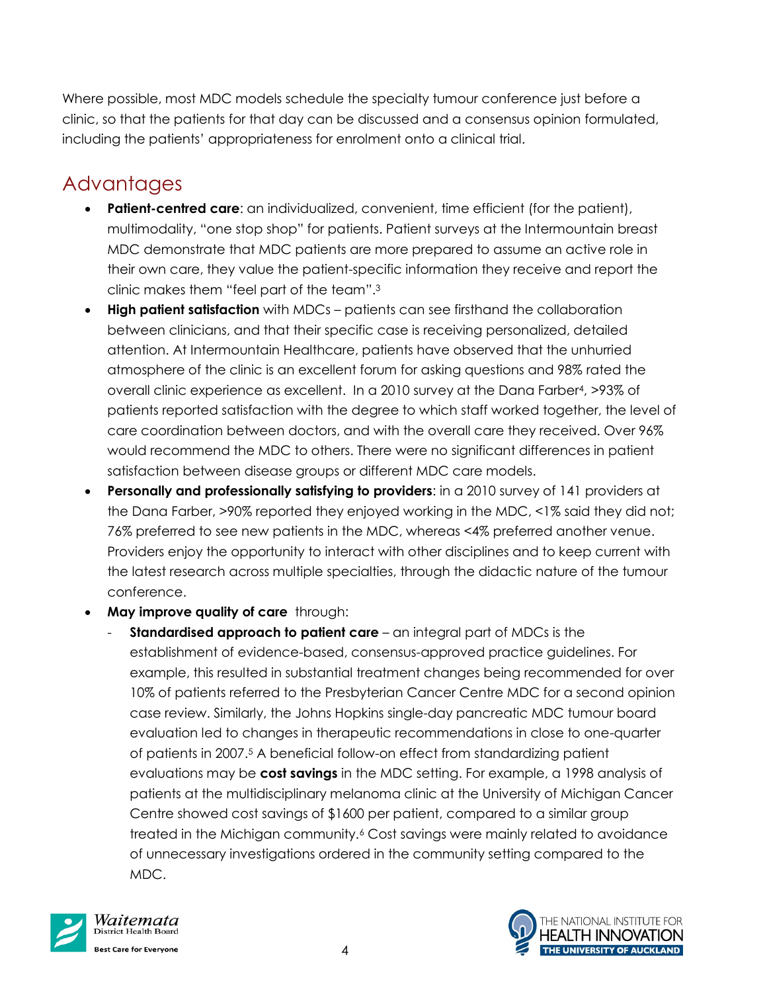Where possible, most MDC models schedule the specialty tumour conference just before a clinic, so that the patients for that day can be discussed and a consensus opinion formulated, including the patients' appropriateness for enrolment onto a clinical trial.

# **Advantages**

- **Patient-centred care**: an individualized, convenient, time efficient (for the patient), multimodality, "one stop shop" for patients. Patient surveys at the Intermountain breast MDC demonstrate that MDC patients are more prepared to assume an active role in their own care, they value the patient-specific information they receive and report the clinic makes them "feel part of the team".<sup>3</sup>
- **High patient satisfaction** with MDCs patients can see firsthand the collaboration between clinicians, and that their specific case is receiving personalized, detailed attention. At Intermountain Healthcare, patients have observed that the unhurried atmosphere of the clinic is an excellent forum for asking questions and 98% rated the overall clinic experience as excellent. In a 2010 survey at the Dana Farber4, >93% of patients reported satisfaction with the degree to which staff worked together, the level of care coordination between doctors, and with the overall care they received. Over 96% would recommend the MDC to others. There were no significant differences in patient satisfaction between disease groups or different MDC care models.
- **Personally and professionally satisfying to providers**: in a 2010 survey of 141 providers at the Dana Farber, >90% reported they enjoyed working in the MDC, <1% said they did not; 76% preferred to see new patients in the MDC, whereas <4% preferred another venue. Providers enjoy the opportunity to interact with other disciplines and to keep current with the latest research across multiple specialties, through the didactic nature of the tumour conference.
- **May improve quality of care** through:
	- **Standardised approach to patient care** an integral part of MDCs is the establishment of evidence-based, consensus-approved practice guidelines. For example, this resulted in substantial treatment changes being recommended for over 10% of patients referred to the Presbyterian Cancer Centre MDC for a second opinion case review. Similarly, the Johns Hopkins single-day pancreatic MDC tumour board evaluation led to changes in therapeutic recommendations in close to one-quarter of patients in 2007.<sup>5</sup> A beneficial follow-on effect from standardizing patient evaluations may be **cost savings** in the MDC setting. For example, a 1998 analysis of patients at the multidisciplinary melanoma clinic at the University of Michigan Cancer Centre showed cost savings of \$1600 per patient, compared to a similar group treated in the Michigan community.<sup>6</sup> Cost savings were mainly related to avoidance of unnecessary investigations ordered in the community setting compared to the MDC.



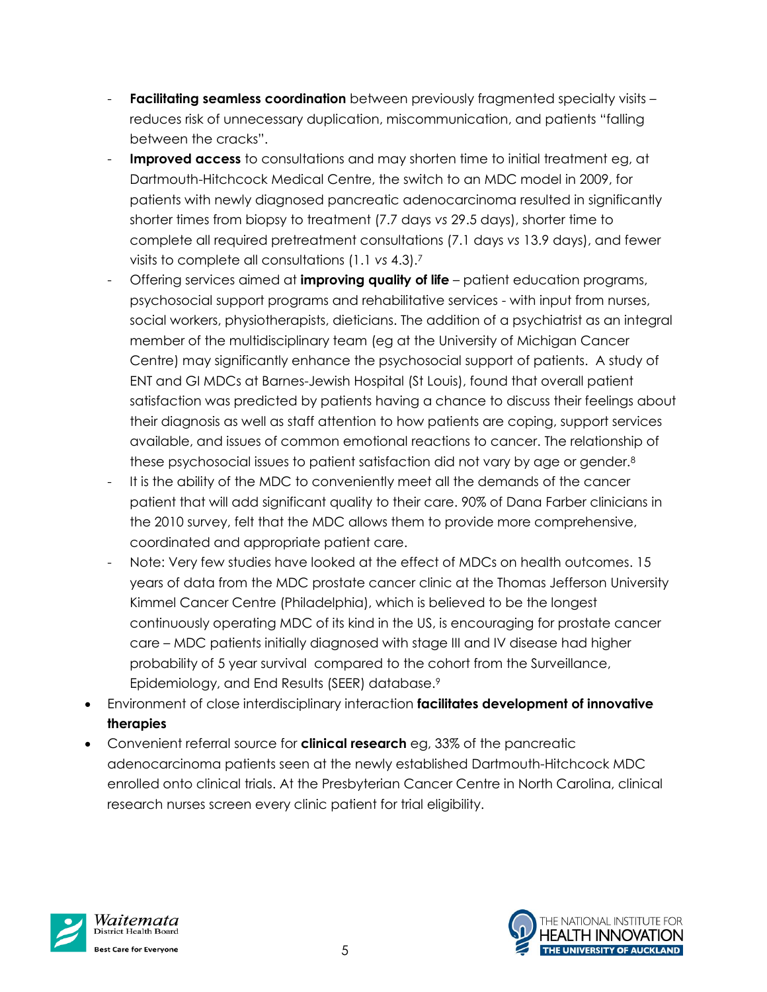- **Facilitating seamless coordination** between previously fragmented specialty visits reduces risk of unnecessary duplication, miscommunication, and patients "falling between the cracks".
- **Improved access** to consultations and may shorten time to initial treatment eg, at Dartmouth-Hitchcock Medical Centre, the switch to an MDC model in 2009, for patients with newly diagnosed pancreatic adenocarcinoma resulted in significantly shorter times from biopsy to treatment (7.7 days *vs* 29.5 days), shorter time to complete all required pretreatment consultations (7.1 days *vs* 13.9 days), and fewer visits to complete all consultations (1.1 *vs* 4.3).<sup>7</sup>
- Offering services aimed at **improving quality of life** patient education programs, psychosocial support programs and rehabilitative services - with input from nurses, social workers, physiotherapists, dieticians. The addition of a psychiatrist as an integral member of the multidisciplinary team (eg at the University of Michigan Cancer Centre) may significantly enhance the psychosocial support of patients. A study of ENT and GI MDCs at Barnes-Jewish Hospital (St Louis), found that overall patient satisfaction was predicted by patients having a chance to discuss their feelings about their diagnosis as well as staff attention to how patients are coping, support services available, and issues of common emotional reactions to cancer. The relationship of these psychosocial issues to patient satisfaction did not vary by age or gender.<sup>8</sup>
- It is the ability of the MDC to conveniently meet all the demands of the cancer patient that will add significant quality to their care. 90% of Dana Farber clinicians in the 2010 survey, felt that the MDC allows them to provide more comprehensive, coordinated and appropriate patient care.
- Note: Very few studies have looked at the effect of MDCs on health outcomes. 15 years of data from the MDC prostate cancer clinic at the Thomas Jefferson University Kimmel Cancer Centre (Philadelphia), which is believed to be the longest continuously operating MDC of its kind in the US, is encouraging for prostate cancer care – MDC patients initially diagnosed with stage III and IV disease had higher probability of 5 year survival compared to the cohort from the Surveillance, Epidemiology, and End Results (SEER) database.<sup>9</sup>
- Environment of close interdisciplinary interaction **facilitates development of innovative therapies**
- Convenient referral source for **clinical research** eg, 33% of the pancreatic adenocarcinoma patients seen at the newly established Dartmouth-Hitchcock MDC enrolled onto clinical trials. At the Presbyterian Cancer Centre in North Carolina, clinical research nurses screen every clinic patient for trial eligibility.



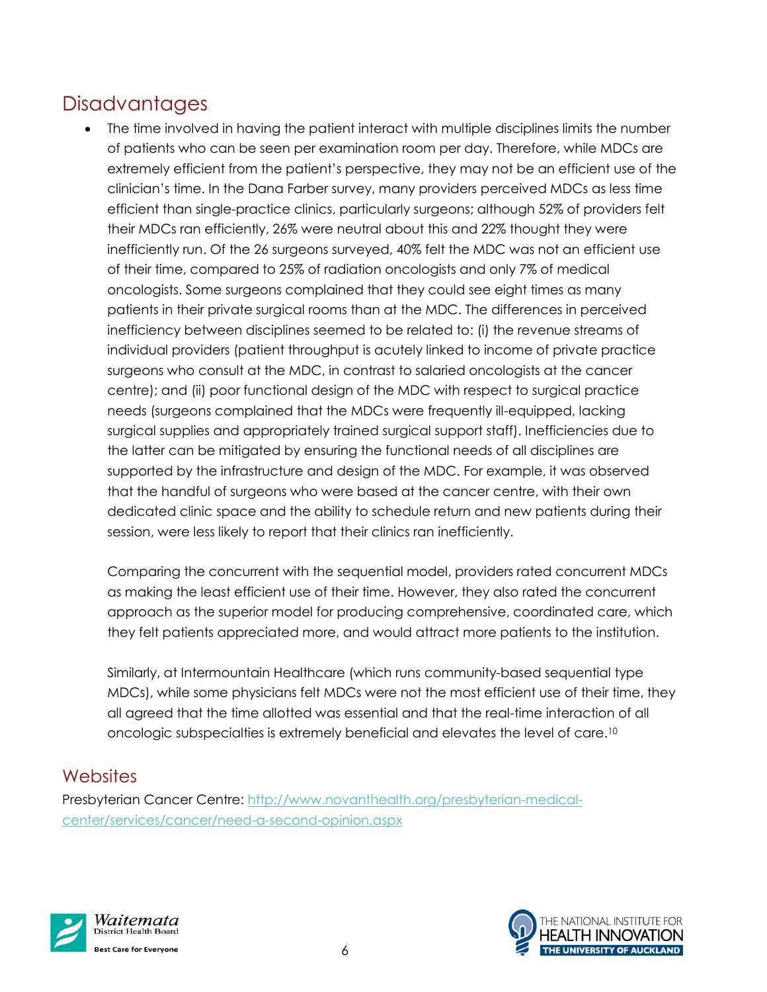# **Disadvantages**

• The time involved in having the patient interact with multiple disciplines limits the number of patients who can be seen per examination room per day. Therefore, while MDCs are extremely efficient from the patient's perspective, they may not be an efficient use of the clinician's time. In the Dana Farber survey, many providers perceived MDCs as less time efficient than single-practice clinics, particularly surgeons; although 52% of providers felt their MDCs ran efficiently, 26% were neutral about this and 22% thought they were inefficiently run. Of the 26 surgeons surveyed, 40% felt the MDC was not an efficient use of their time, compared to 25% of radiation oncologists and only 7% of medical oncologists. Some surgeons complained that they could see eight times as many patients in their private surgical rooms than at the MDC. The differences in perceived inefficiency between disciplines seemed to be related to: (i) the revenue streams of individual providers (patient throughput is acutely linked to income of private practice surgeons who consult at the MDC, in contrast to salaried oncologists at the cancer centre); and (ii) poor functional design of the MDC with respect to surgical practice needs (surgeons complained that the MDCs were frequently ill-equipped, lacking surgical supplies and appropriately trained surgical support staff). Inefficiencies due to the latter can be mitigated by ensuring the functional needs of all disciplines are supported by the infrastructure and design of the MDC. For example, it was observed that the handful of surgeons who were based at the cancer centre, with their own dedicated clinic space and the ability to schedule return and new patients during their session, were less likely to report that their clinics ran inefficiently.

Comparing the concurrent with the sequential model, providers rated concurrent MDCs as making the least efficient use of their time. However, they also rated the concurrent approach as the superior model for producing comprehensive, coordinated care, which they felt patients appreciated more, and would attract more patients to the institution.

Similarly, at Intermountain Healthcare (which runs community-based sequential type MDCs), while some physicians felt MDCs were not the most efficient use of their time, they all agreed that the time allotted was essential and that the real-time interaction of all oncologic subspecialties is extremely beneficial and elevates the level of care.<sup>10</sup>

## **Websites**

Presbyterian Cancer Centre: [http://www.novanthealth.org/presbyterian-medical](http://www.novanthealth.org/presbyterian-medical-center/services/cancer/need-a-second-opinion.aspx)[center/services/cancer/need-a-second-opinion.aspx](http://www.novanthealth.org/presbyterian-medical-center/services/cancer/need-a-second-opinion.aspx)